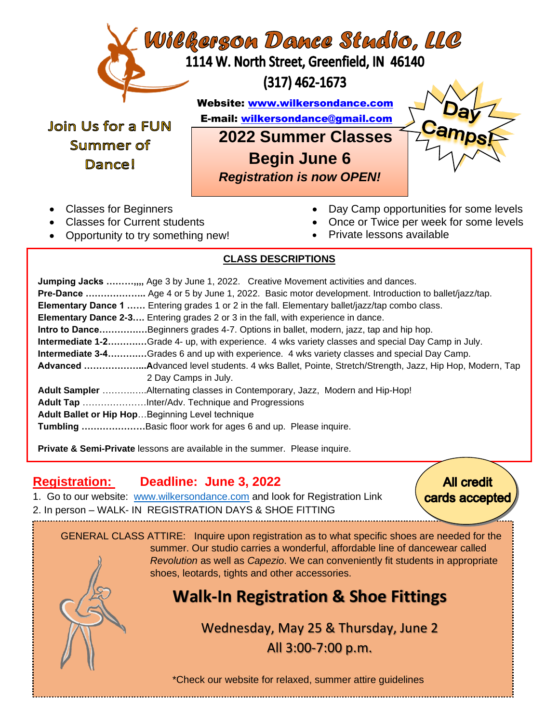

Summer of Dance!

Join Us for a FUN E-mail: [wilkersondance@gmail.com](mailto:wilkersondance@gmail.com) **2022 Summer Classes** **Begin June 6**

*Registration is now OPEN!*



- Classes for Beginners
- Classes for Current students
- Opportunity to try something new!
- Day Camp opportunities for some levels
- Once or Twice per week for some levels
- Private lessons available

## j **CLASS DESCRIPTIONS**

 **Jumping Jacks ………,,,,** Age 3 by June 1, 2022. Creative Movement activities and dances.  **Pre-Dance ………………..** Age 4 or 5 by June 1, 2022. Basic motor development. Introduction to ballet/jazz/tap.  **Elementary Dance 1 ……** Entering grades 1 or 2 in the fall. Elementary ballet/jazz/tap combo class. **Elementary Dance 2-3….** Entering grades 2 or 3 in the fall, with experience in dance.  **Intro to Dance………….…**Beginners grades 4-7. Options in ballet, modern, jazz, tap and hip hop.  **Intermediate 1-2……….…**Grade 4- up, with experience. 4 wks variety classes and special Day Camp in July.  **Intermediate 3-4……….…**Grades 6 and up with experience. 4 wks variety classes and special Day Camp.  **Advanced ………………...A**dvanced level students. 4 wks Ballet, Pointe, Stretch/Strength, Jazz, Hip Hop, Modern, Tap 2 Day Camps in July. **Adult Sampler** ……….…..Alternating classes in Contemporary, Jazz, Modern and Hip-Hop! **Adult Tap** …………………Inter/Adv. Technique and Progressions **Adult Ballet or Hip Hop**…Beginning Level technique **Tumbling …………………**Basic floor work for ages 6 and up. Please inquire.

 **Private & Semi-Private** lessons are available in the summer. Please inquire.

## **Registration: Deadline: June 3, 2022**

j

1. Go to our website: [www.wilkersondance.com](http://www.wilkersondance.com/) and look for Registration Link 2. In person – WALK- IN REGISTRATION DAYS & SHOE FITTING

**All credit** cards accepted

 GENERAL CLASS ATTIRE: Inquire upon registration as to what specific shoes are needed for the summer. Our studio carries a wonderful, affordable line of dancewear called *Revolution* as well as *Capezio*. We can conveniently fit students in appropriate shoes, leotards, tights and other accessories.

## **Walk-In Registration & Shoe Fittings**

Wednesday, May 25 & Thursday, June 2 All 3:00-7:00 p.m.

\*Check our website for relaxed, summer attire guidelines